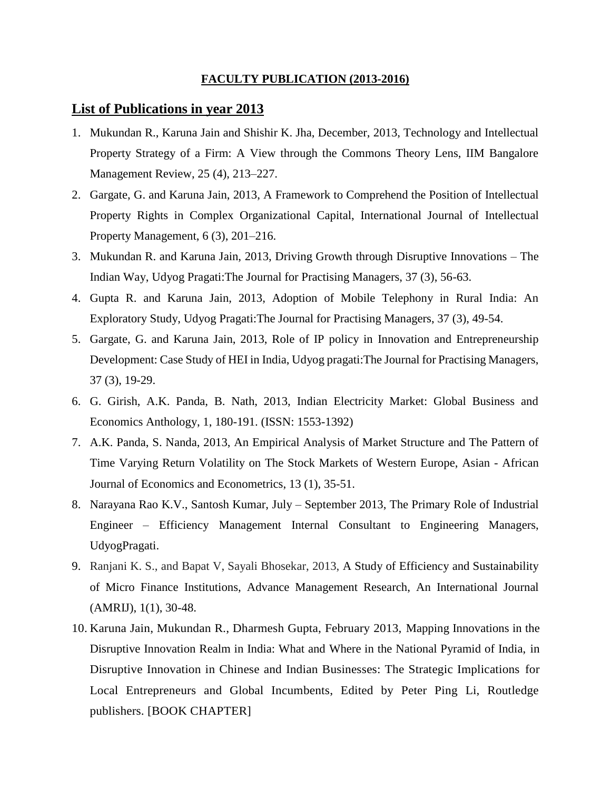## **FACULTY PUBLICATION (2013-2016)**

## **List of Publications in year 2013**

- 1. Mukundan R., Karuna Jain and Shishir K. Jha, December, 2013, Technology and Intellectual Property Strategy of a Firm: A View through the Commons Theory Lens, IIM Bangalore Management Review, 25 (4), 213–227.
- 2. Gargate, G. and Karuna Jain, 2013, A Framework to Comprehend the Position of Intellectual Property Rights in Complex Organizational Capital, International Journal of Intellectual Property Management, 6 (3), 201–216.
- 3. Mukundan R. and Karuna Jain, 2013, Driving Growth through Disruptive Innovations The Indian Way, Udyog Pragati:The Journal for Practising Managers, 37 (3), 56-63.
- 4. Gupta R. and Karuna Jain, 2013, Adoption of Mobile Telephony in Rural India: An Exploratory Study, Udyog Pragati:The Journal for Practising Managers, 37 (3), 49-54.
- 5. Gargate, G. and Karuna Jain, 2013, Role of IP policy in Innovation and Entrepreneurship Development: Case Study of HEI in India, Udyog pragati:The Journal for Practising Managers, 37 (3), 19-29.
- 6. G. Girish, A.K. Panda, B. Nath, 2013, Indian Electricity Market: Global Business and Economics Anthology, 1, 180-191. (ISSN: 1553-1392)
- 7. A.K. Panda, S. Nanda, 2013, An Empirical Analysis of Market Structure and The Pattern of Time Varying Return Volatility on The Stock Markets of Western Europe, Asian - African Journal of Economics and Econometrics, 13 (1), 35-51.
- 8. Narayana Rao K.V., Santosh Kumar, July September 2013, The Primary Role of Industrial Engineer – Efficiency Management Internal Consultant to Engineering Managers, UdyogPragati.
- 9. Ranjani K. S., and Bapat V, Sayali Bhosekar, 2013, A Study of Efficiency and Sustainability of Micro Finance Institutions, Advance Management Research, An International Journal (AMRIJ), 1(1), 30-48.
- 10. Karuna Jain, Mukundan R., Dharmesh Gupta, February 2013, Mapping Innovations in the Disruptive Innovation Realm in India: What and Where in the National Pyramid of India, in Disruptive Innovation in Chinese and Indian Businesses: The Strategic Implications for Local Entrepreneurs and Global Incumbents, Edited by Peter Ping Li, Routledge publishers. [BOOK CHAPTER]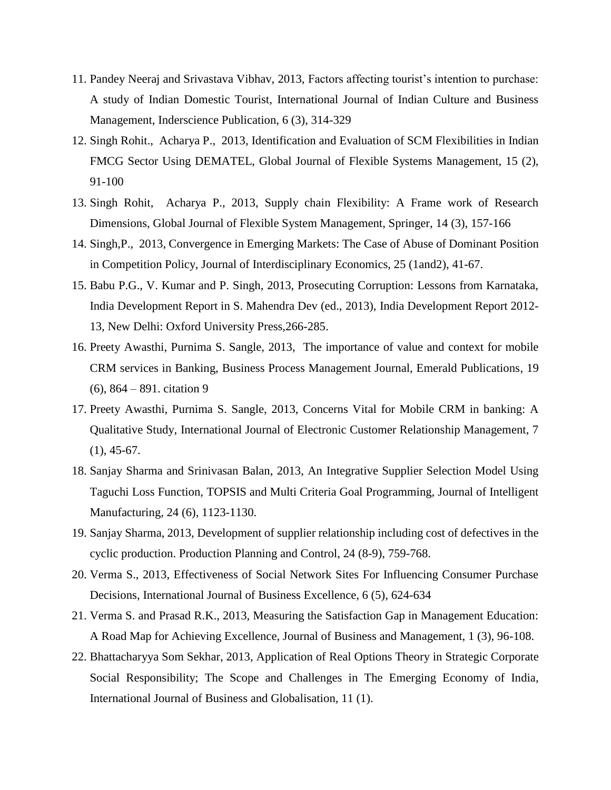- 11. Pandey Neeraj and Srivastava Vibhav, 2013, Factors affecting tourist's intention to purchase: A study of Indian Domestic Tourist, International Journal of Indian Culture and Business Management, Inderscience Publication, 6 (3), 314-329
- 12. Singh Rohit., Acharya P., 2013, Identification and Evaluation of SCM Flexibilities in Indian FMCG Sector Using DEMATEL, Global Journal of Flexible Systems Management, 15 (2), 91-100
- 13. Singh Rohit, Acharya P., 2013, Supply chain Flexibility: A Frame work of Research Dimensions, Global Journal of Flexible System Management, Springer, 14 (3), 157-166
- 14. Singh,P., 2013, Convergence in Emerging Markets: The Case of Abuse of Dominant Position in Competition Policy, Journal of Interdisciplinary Economics, 25 (1and2), 41-67.
- 15. Babu P.G., V. Kumar and P. Singh, 2013, Prosecuting Corruption: Lessons from Karnataka, India Development Report in S. Mahendra Dev (ed., 2013), India Development Report 2012- 13, New Delhi: Oxford University Press,266-285.
- 16. Preety Awasthi, Purnima S. Sangle, 2013, The importance of value and context for mobile CRM services in Banking, Business Process Management Journal, Emerald Publications, 19 (6), 864 – 891. citation 9
- 17. Preety Awasthi, Purnima S. Sangle, 2013, Concerns Vital for Mobile CRM in banking: A Qualitative Study, International Journal of Electronic Customer Relationship Management, 7  $(1), 45-67.$
- 18. Sanjay Sharma and Srinivasan Balan, 2013, An Integrative Supplier Selection Model Using Taguchi Loss Function, TOPSIS and Multi Criteria Goal Programming, Journal of Intelligent Manufacturing, 24 (6), 1123-1130.
- 19. Sanjay Sharma, 2013, Development of supplier relationship including cost of defectives in the cyclic production. Production Planning and Control, 24 (8-9), 759-768.
- 20. Verma S., 2013, Effectiveness of Social Network Sites For Influencing Consumer Purchase Decisions, International Journal of Business Excellence, 6 (5), 624-634
- 21. Verma S. and Prasad R.K., 2013, Measuring the Satisfaction Gap in Management Education: A Road Map for Achieving Excellence, Journal of Business and Management, 1 (3), 96-108.
- 22. Bhattacharyya Som Sekhar, 2013, Application of Real Options Theory in Strategic Corporate Social Responsibility; The Scope and Challenges in The Emerging Economy of India, International Journal of Business and Globalisation, 11 (1).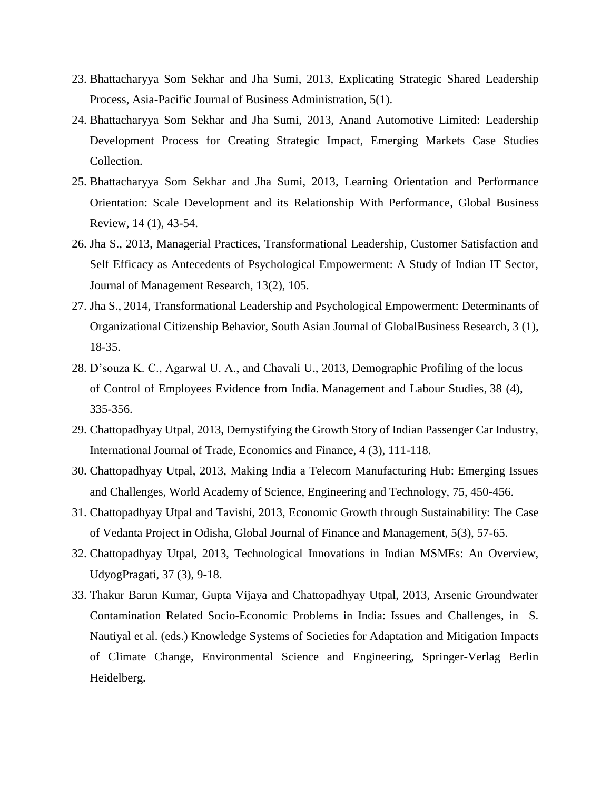- 23. Bhattacharyya Som Sekhar and Jha Sumi, 2013, Explicating Strategic Shared Leadership Process, Asia-Pacific Journal of Business Administration, 5(1).
- 24. Bhattacharyya Som Sekhar and Jha Sumi, 2013, Anand Automotive Limited: Leadership Development Process for Creating Strategic Impact, Emerging Markets Case Studies Collection.
- 25. Bhattacharyya Som Sekhar and Jha Sumi, 2013, Learning Orientation and Performance Orientation: Scale Development and its Relationship With Performance, Global Business Review, 14 (1), 43-54.
- 26. Jha S., 2013, Managerial Practices, Transformational Leadership, Customer Satisfaction and Self Efficacy as Antecedents of Psychological Empowerment: A Study of Indian IT Sector, Journal of Management Research, 13(2), 105.
- 27. Jha S., 2014, Transformational Leadership and Psychological Empowerment: Determinants of Organizational Citizenship Behavior, South Asian Journal of GlobalBusiness Research*,* 3 (1), 18-35.
- 28. D'souza K. C., Agarwal U. A., and Chavali U., 2013, Demographic Profiling of the locus of Control of Employees Evidence from India. Management and Labour Studies, 38 (4), 335-356.
- 29. Chattopadhyay Utpal, 2013, Demystifying the Growth Story of Indian Passenger Car Industry, International Journal of Trade, Economics and Finance, 4 (3), 111-118.
- 30. Chattopadhyay Utpal, 2013, Making India a Telecom Manufacturing Hub: Emerging Issues and Challenges, World Academy of Science, Engineering and Technology, 75, 450-456.
- 31. Chattopadhyay Utpal and Tavishi, 2013, Economic Growth through Sustainability: The Case of Vedanta Project in Odisha, Global Journal of Finance and Management, 5(3), 57-65.
- 32. Chattopadhyay Utpal, 2013, Technological Innovations in Indian MSMEs: An Overview, UdyogPragati, 37 (3), 9-18.
- 33. Thakur Barun Kumar, Gupta Vijaya and Chattopadhyay Utpal, 2013, Arsenic Groundwater Contamination Related Socio-Economic Problems in India: Issues and Challenges, in S. Nautiyal et al. (eds.) Knowledge Systems of Societies for Adaptation and Mitigation Impacts of Climate Change, Environmental Science and Engineering, Springer-Verlag Berlin Heidelberg.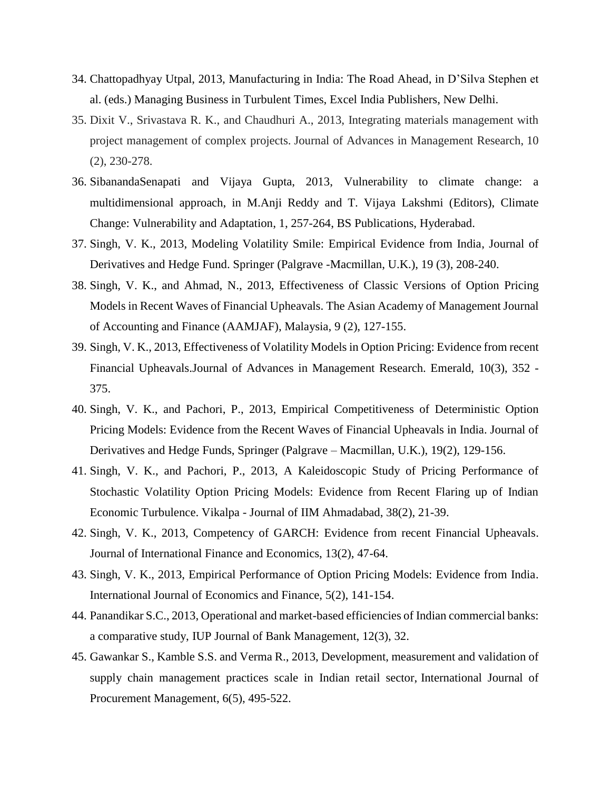- 34. Chattopadhyay Utpal, 2013, Manufacturing in India: The Road Ahead, in D'Silva Stephen et al. (eds.) Managing Business in Turbulent Times, Excel India Publishers, New Delhi.
- 35. Dixit V., Srivastava R. K., and Chaudhuri A., 2013, Integrating materials management with project management of complex projects. Journal of Advances in Management Research, 10 (2), 230-278.
- 36. SibanandaSenapati and Vijaya Gupta, 2013, Vulnerability to climate change: a multidimensional approach, in M.Anji Reddy and T. Vijaya Lakshmi (Editors), Climate Change: Vulnerability and Adaptation, 1, 257-264, BS Publications, Hyderabad.
- 37. Singh, V. K., 2013, Modeling Volatility Smile: Empirical Evidence from India, Journal of Derivatives and Hedge Fund. Springer (Palgrave -Macmillan, U.K.), 19 (3), 208-240.
- 38. Singh, V. K., and Ahmad, N., 2013, Effectiveness of Classic Versions of Option Pricing Models in Recent Waves of Financial Upheavals. The Asian Academy of Management Journal of Accounting and Finance (AAMJAF), Malaysia, 9 (2), 127-155.
- 39. Singh, V. K., 2013, Effectiveness of Volatility Models in Option Pricing: Evidence from recent Financial Upheavals.Journal of Advances in Management Research. Emerald, 10(3), 352 - 375.
- 40. Singh, V. K., and Pachori, P., 2013, Empirical Competitiveness of Deterministic Option Pricing Models: Evidence from the Recent Waves of Financial Upheavals in India. Journal of Derivatives and Hedge Funds, Springer (Palgrave – Macmillan, U.K.), 19(2), 129-156.
- 41. Singh, V. K., and Pachori, P., 2013, A Kaleidoscopic Study of Pricing Performance of Stochastic Volatility Option Pricing Models: Evidence from Recent Flaring up of Indian Economic Turbulence. Vikalpa - Journal of IIM Ahmadabad, 38(2), 21-39.
- 42. Singh, V. K., 2013, Competency of GARCH: Evidence from recent Financial Upheavals. Journal of International Finance and Economics, 13(2), 47-64.
- 43. Singh, V. K., 2013, Empirical Performance of Option Pricing Models: Evidence from India. International Journal of Economics and Finance, 5(2), 141-154.
- 44. Panandikar S.C., 2013, Operational and market-based efficiencies of Indian commercial banks: a comparative study, IUP Journal of Bank Management, 12(3), 32.
- 45. Gawankar S., Kamble S.S. and Verma R., 2013, Development, measurement and validation of supply chain management practices scale in Indian retail sector, International Journal of Procurement Management, 6(5), 495-522.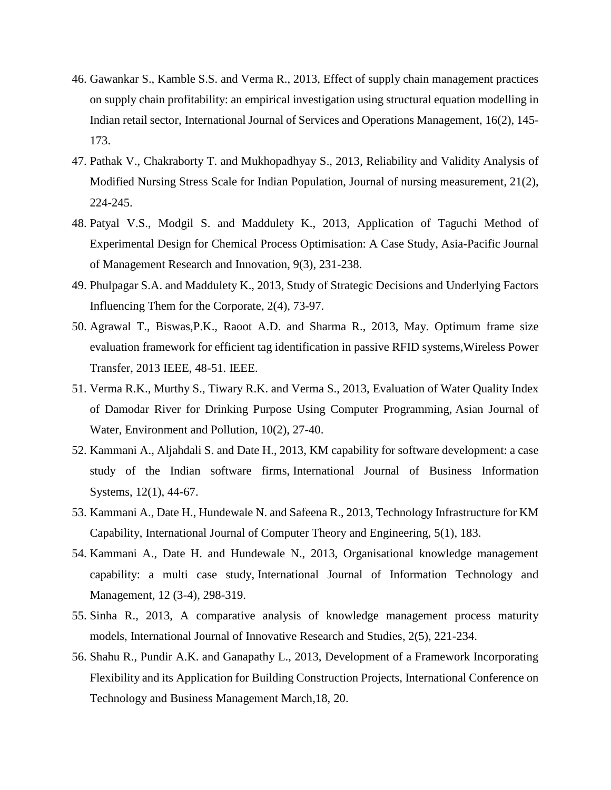- 46. Gawankar S., Kamble S.S. and Verma R., 2013, Effect of supply chain management practices on supply chain profitability: an empirical investigation using structural equation modelling in Indian retail sector, International Journal of Services and Operations Management, 16(2), 145- 173.
- 47. Pathak V., Chakraborty T. and Mukhopadhyay S., 2013, Reliability and Validity Analysis of Modified Nursing Stress Scale for Indian Population, Journal of nursing measurement, 21(2), 224-245.
- 48. Patyal V.S., Modgil S. and Maddulety K., 2013, Application of Taguchi Method of Experimental Design for Chemical Process Optimisation: A Case Study, Asia-Pacific Journal of Management Research and Innovation, 9(3), 231-238.
- 49. Phulpagar S.A. and Maddulety K., 2013, Study of Strategic Decisions and Underlying Factors Influencing Them for the Corporate, 2(4), 73-97.
- 50. Agrawal T., Biswas,P.K., Raoot A.D. and Sharma R., 2013, May. Optimum frame size evaluation framework for efficient tag identification in passive RFID systems,Wireless Power Transfer, 2013 IEEE, 48-51. IEEE.
- 51. Verma R.K., Murthy S., Tiwary R.K. and Verma S., 2013, Evaluation of Water Quality Index of Damodar River for Drinking Purpose Using Computer Programming, Asian Journal of Water, Environment and Pollution, 10(2), 27-40.
- 52. Kammani A., Aljahdali S. and Date H., 2013, KM capability for software development: a case study of the Indian software firms, International Journal of Business Information Systems, 12(1), 44-67.
- 53. Kammani A., Date H., Hundewale N. and Safeena R., 2013, Technology Infrastructure for KM Capability, International Journal of Computer Theory and Engineering, 5(1), 183.
- 54. Kammani A., Date H. and Hundewale N., 2013, Organisational knowledge management capability: a multi case study, International Journal of Information Technology and Management, 12 (3-4), 298-319.
- 55. Sinha R., 2013, A comparative analysis of knowledge management process maturity models, International Journal of Innovative Research and Studies, 2(5), 221-234.
- 56. Shahu R., Pundir A.K. and Ganapathy L., 2013, Development of a Framework Incorporating Flexibility and its Application for Building Construction Projects, International Conference on Technology and Business Management March,18, 20.